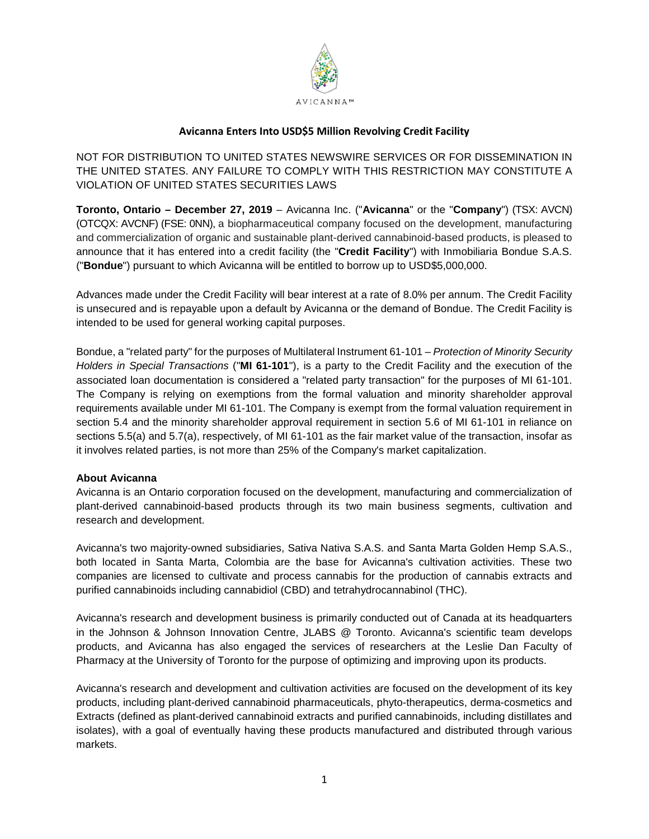

## **Avicanna Enters Into USD\$5 Million Revolving Credit Facility**

NOT FOR DISTRIBUTION TO UNITED STATES NEWSWIRE SERVICES OR FOR DISSEMINATION IN THE UNITED STATES. ANY FAILURE TO COMPLY WITH THIS RESTRICTION MAY CONSTITUTE A VIOLATION OF UNITED STATES SECURITIES LAWS

**Toronto, Ontario – December 27, 2019** – Avicanna Inc. ("**Avicanna**" or the "**Company**") (TSX: AVCN) (OTCQX: AVCNF) (FSE: 0NN), a biopharmaceutical company focused on the development, manufacturing and commercialization of organic and sustainable plant-derived cannabinoid-based products, is pleased to announce that it has entered into a credit facility (the "**Credit Facility**") with Inmobiliaria Bondue S.A.S. ("**Bondue**") pursuant to which Avicanna will be entitled to borrow up to USD\$5,000,000.

Advances made under the Credit Facility will bear interest at a rate of 8.0% per annum. The Credit Facility is unsecured and is repayable upon a default by Avicanna or the demand of Bondue. The Credit Facility is intended to be used for general working capital purposes.

Bondue, a "related party" for the purposes of Multilateral Instrument 61-101 – *Protection of Minority Security Holders in Special Transactions* ("**MI 61-101**"), is a party to the Credit Facility and the execution of the associated loan documentation is considered a "related party transaction" for the purposes of MI 61-101. The Company is relying on exemptions from the formal valuation and minority shareholder approval requirements available under MI 61-101. The Company is exempt from the formal valuation requirement in section 5.4 and the minority shareholder approval requirement in section 5.6 of MI 61-101 in reliance on sections 5.5(a) and 5.7(a), respectively, of MI 61-101 as the fair market value of the transaction, insofar as it involves related parties, is not more than 25% of the Company's market capitalization.

## **About Avicanna**

Avicanna is an Ontario corporation focused on the development, manufacturing and commercialization of plant-derived cannabinoid-based products through its two main business segments, cultivation and research and development.

Avicanna's two majority-owned subsidiaries, Sativa Nativa S.A.S. and Santa Marta Golden Hemp S.A.S., both located in Santa Marta, Colombia are the base for Avicanna's cultivation activities. These two companies are licensed to cultivate and process cannabis for the production of cannabis extracts and purified cannabinoids including cannabidiol (CBD) and tetrahydrocannabinol (THC).

Avicanna's research and development business is primarily conducted out of Canada at its headquarters in the Johnson & Johnson Innovation Centre, JLABS @ Toronto. Avicanna's scientific team develops products, and Avicanna has also engaged the services of researchers at the Leslie Dan Faculty of Pharmacy at the University of Toronto for the purpose of optimizing and improving upon its products.

Avicanna's research and development and cultivation activities are focused on the development of its key products, including plant-derived cannabinoid pharmaceuticals, phyto-therapeutics, derma-cosmetics and Extracts (defined as plant-derived cannabinoid extracts and purified cannabinoids, including distillates and isolates), with a goal of eventually having these products manufactured and distributed through various markets.